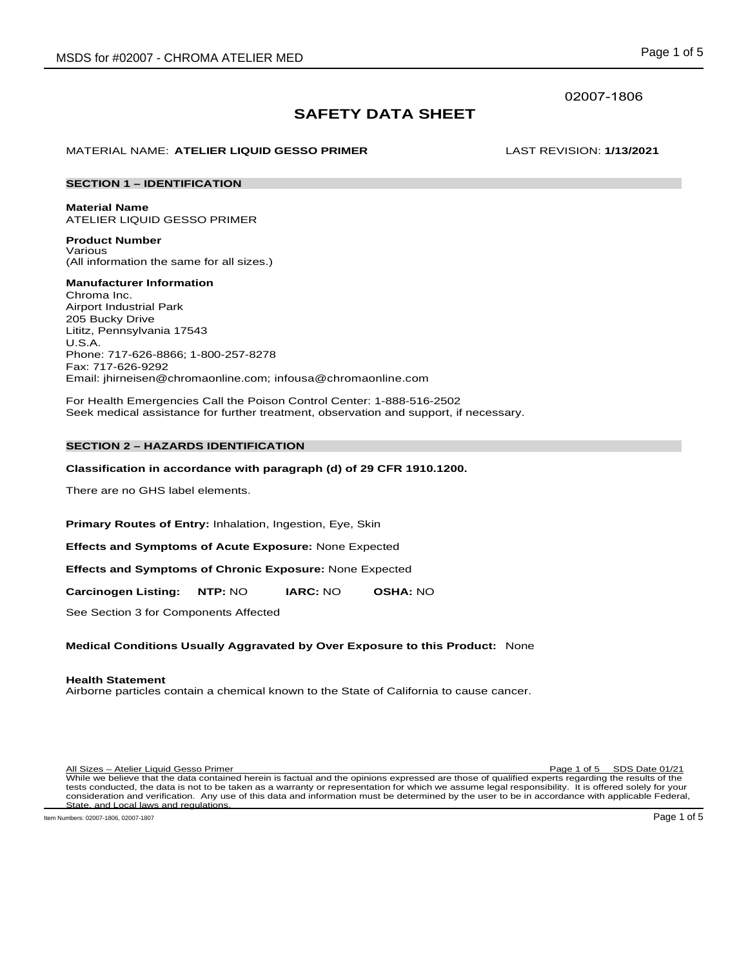# 02007-1806

# **SAFETY DATA SHEET**

# MATERIAL NAME: **ATELIER LIQUID GESSO PRIMER** LAST REVISION: **1/13/2021**

### **SECTION 1 – IDENTIFICATION**

**Material Name** ATELIER LIQUID GESSO PRIMER

**Product Number** Various (All information the same for all sizes.)

**Manufacturer Information** Chroma Inc. Airport Industrial Park 205 Bucky Drive Lititz, Pennsylvania 17543 U.S.A. Phone: 717-626-8866; 1-800-257-8278 Fax: 717-626-9292 Email: jhirneisen@chromaonline.com; infousa@chromaonline.com

For Health Emergencies Call the Poison Control Center: 1-888-516-2502 Seek medical assistance for further treatment, observation and support, if necessary.

# **SECTION 2 – HAZARDS IDENTIFICATION**

### **Classification in accordance with paragraph (d) of 29 CFR 1910.1200.**

There are no GHS label elements.

**Primary Routes of Entry:** Inhalation, Ingestion, Eye, Skin

**Effects and Symptoms of Acute Exposure:** None Expected

**Effects and Symptoms of Chronic Exposure:** None Expected

**Carcinogen Listing: NTP:** NO **IARC:** NO **OSHA:** NO

See Section 3 for Components Affected

### **Medical Conditions Usually Aggravated by Over Exposure to this Product:** None

# **Health Statement**

Airborne particles contain a chemical known to the State of California to cause cancer.

Page 1 of 5 SDS Date 01/21 All Sizes – Atelier Liquid Gesso Primer<br>While we believe that the data contained herein is factual and the opinions expressed are those of qualified experts regarding the results of the tests conducted, the data is not to be taken as a warranty or representation for which we assume legal responsibility. It is offered solely for your consideration and verification. Any use of this data and information must be determined by the user to be in accordance with applicable Federal, State, and Local laws and regulations.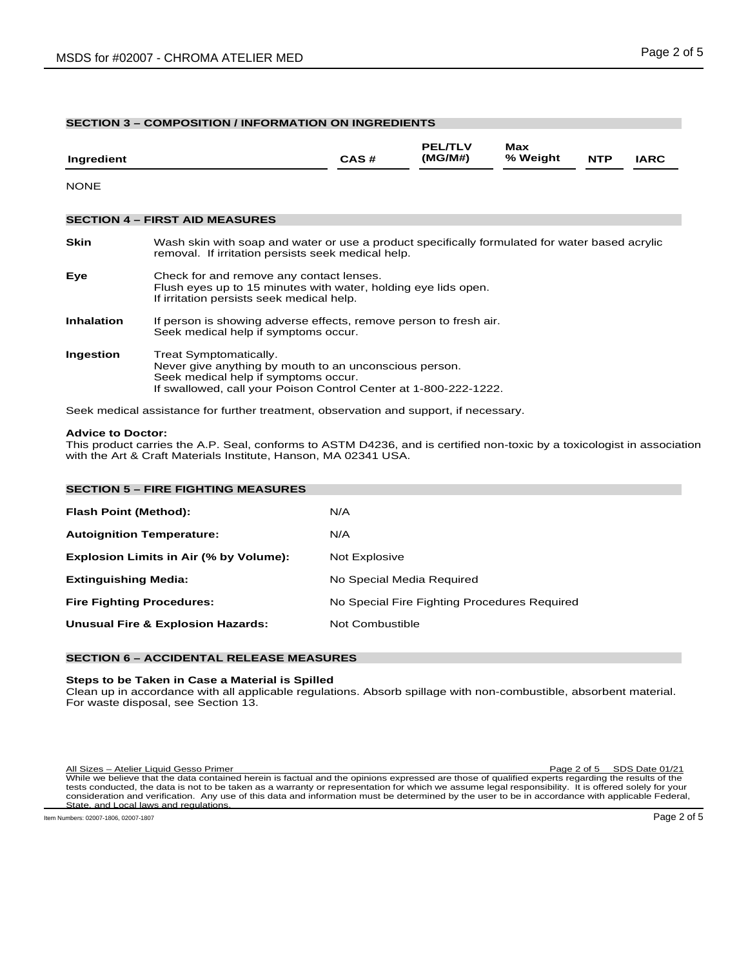# **SECTION 3 – COMPOSITION / INFORMATION ON INGREDIENTS**

| Ingredient        |                                                                                                                                                                                              | CAS# | <b>PEL/TLV</b><br>(MG/M#) | Max<br>% Weight | <b>NTP</b> | <b>IARC</b> |
|-------------------|----------------------------------------------------------------------------------------------------------------------------------------------------------------------------------------------|------|---------------------------|-----------------|------------|-------------|
| <b>NONE</b>       |                                                                                                                                                                                              |      |                           |                 |            |             |
|                   | <b>SECTION 4 – FIRST AID MEASURES</b>                                                                                                                                                        |      |                           |                 |            |             |
| <b>Skin</b>       | Wash skin with soap and water or use a product specifically formulated for water based acrylic<br>removal. If irritation persists seek medical help.                                         |      |                           |                 |            |             |
| Eye               | Check for and remove any contact lenses.<br>Flush eyes up to 15 minutes with water, holding eye lids open.<br>If irritation persists seek medical help.                                      |      |                           |                 |            |             |
| <b>Inhalation</b> | If person is showing adverse effects, remove person to fresh air.<br>Seek medical help if symptoms occur.                                                                                    |      |                           |                 |            |             |
| Ingestion         | Treat Symptomatically.<br>Never give anything by mouth to an unconscious person.<br>Seek medical help if symptoms occur.<br>If swallowed, call your Poison Control Center at 1-800-222-1222. |      |                           |                 |            |             |
|                   | Seek medical assistance for further treatment, observation and support, if necessary.                                                                                                        |      |                           |                 |            |             |

# **Advice to Doctor:**

This product carries the A.P. Seal, conforms to ASTM D4236, and is certified non-toxic by a toxicologist in association with the Art & Craft Materials Institute, Hanson, MA 02341 USA.

| <b>SECTION 5 - FIRE FIGHTING MEASURES</b>    |                                              |
|----------------------------------------------|----------------------------------------------|
| Flash Point (Method):                        | N/A                                          |
| <b>Autoignition Temperature:</b>             | N/A                                          |
| Explosion Limits in Air (% by Volume):       | Not Explosive                                |
| <b>Extinguishing Media:</b>                  | No Special Media Required                    |
| <b>Fire Fighting Procedures:</b>             | No Special Fire Fighting Procedures Required |
| <b>Unusual Fire &amp; Explosion Hazards:</b> | Not Combustible                              |
|                                              |                                              |

# **SECTION 6 – ACCIDENTAL RELEASE MEASURES**

# **Steps to be Taken in Case a Material is Spilled**

Clean up in accordance with all applicable regulations. Absorb spillage with non-combustible, absorbent material. For waste disposal, see Section 13.

Page 2 of 5 SDS Date 01/21 All Sizes – Atelier Liquid Gesso Primer<br>While we believe that the data contained herein is factual and the opinions expressed are those of qualified experts regarding the results of the tests conducted, the data is not to be taken as a warranty or representation for which we assume legal responsibility. It is offered solely for your consideration and verification. Any use of this data and information must be determined by the user to be in accordance with applicable Federal, State, and Local laws and regulations.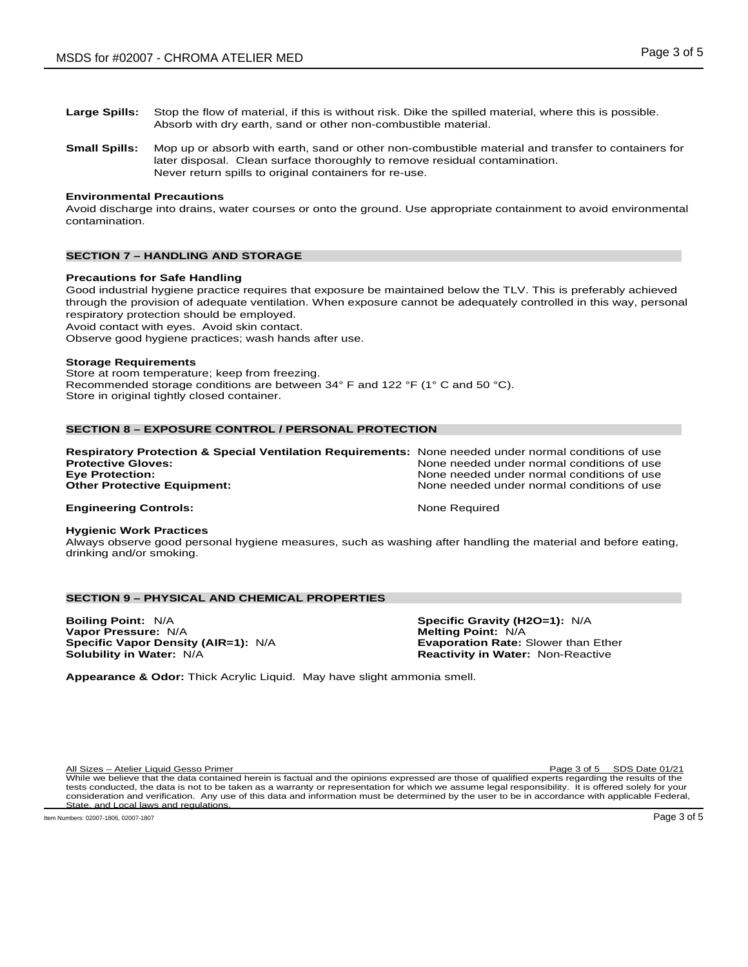- **Large Spills:** Stop the flow of material, if this is without risk. Dike the spilled material, where this is possible. Absorb with dry earth, sand or other non-combustible material.
- **Small Spills:** Mop up or absorb with earth, sand or other non-combustible material and transfer to containers for later disposal. Clean surface thoroughly to remove residual contamination. Never return spills to original containers for re-use.

### **Environmental Precautions**

Avoid discharge into drains, water courses or onto the ground. Use appropriate containment to avoid environmental contamination.

# **SECTION 7 – HANDLING AND STORAGE**

### **Precautions for Safe Handling**

Good industrial hygiene practice requires that exposure be maintained below the TLV. This is preferably achieved through the provision of adequate ventilation. When exposure cannot be adequately controlled in this way, personal respiratory protection should be employed.

Avoid contact with eyes. Avoid skin contact.

Observe good hygiene practices; wash hands after use.

### **Storage Requirements**

Store at room temperature; keep from freezing. Recommended storage conditions are between 34° F and 122 °F (1° C and 50 °C). Store in original tightly closed container.

### **SECTION 8 – EXPOSURE CONTROL / PERSONAL PROTECTION**

| <b>Respiratory Protection &amp; Special Ventilation Requirements:</b> None needed under normal conditions of use |                                            |
|------------------------------------------------------------------------------------------------------------------|--------------------------------------------|
| <b>Protective Gloves:</b>                                                                                        | None needed under normal conditions of use |
| <b>Eve Protection:</b>                                                                                           | None needed under normal conditions of use |
| <b>Other Protective Equipment:</b>                                                                               | None needed under normal conditions of use |
| <b>Engineering Controls:</b>                                                                                     | None Required                              |

### **Hygienic Work Practices**

Always observe good personal hygiene measures, such as washing after handling the material and before eating, drinking and/or smoking.

# **SECTION 9 – PHYSICAL AND CHEMICAL PROPERTIES**

**Boiling Point:** N/A **Specific Gravity (H2O=1):** N/A **Vapor Pressure:** N/A **Melting Point:** N/A **Melting Point:** N/A **Specific Vapor Density (AIR=1):** N/A **Melting Point:** Exaporation Rate: Slower than Ether **Specific Vapor Density (AIR=1): N/A Solubility in Water: N/A** 

**Reactivity in Water: Non-Reactive** 

**Appearance & Odor:** Thick Acrylic Liquid. May have slight ammonia smell.

All Sizes – Atelier Liquid Gesso Primer Page 3 of 5 SDS Date 01/21

While we believe that the data contained herein is factual and the opinions expressed are those of qualified experts regarding the results of the tests conducted, the data is not to be taken as a warranty or representation for which we assume legal responsibility. It is offered solely for your consideration and verification. Any use of this data and information must be determined by the user to be in accordance with applicable Federal, State, and Local laws and regulations.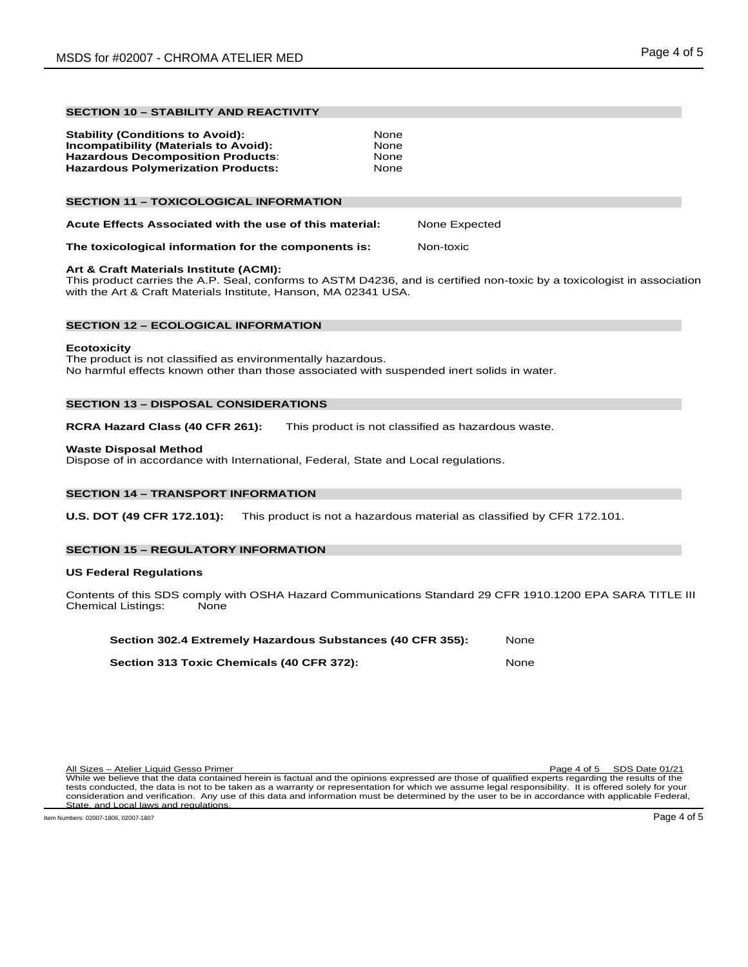# **SECTION 10 – STABILITY AND REACTIVITY**

| <b>Stability (Conditions to Avoid):</b>   | <b>None</b> |
|-------------------------------------------|-------------|
| Incompatibility (Materials to Avoid):     | None        |
| <b>Hazardous Decomposition Products:</b>  | <b>None</b> |
| <b>Hazardous Polymerization Products:</b> | None        |
|                                           |             |

# **SECTION 11 – TOXICOLOGICAL INFORMATION**

| Acute Effects Associated with the use of this material: | None Expected |
|---------------------------------------------------------|---------------|
|                                                         |               |

### **The toxicological information for the components is:** Non-toxic

# **Art & Craft Materials Institute (ACMI):**

This product carries the A.P. Seal, conforms to ASTM D4236, and is certified non-toxic by a toxicologist in association with the Art & Craft Materials Institute, Hanson, MA 02341 USA.

### **SECTION 12 – ECOLOGICAL INFORMATION**

### **Ecotoxicity**

The product is not classified as environmentally hazardous. No harmful effects known other than those associated with suspended inert solids in water.

# **SECTION 13 – DISPOSAL CONSIDERATIONS**

**RCRA Hazard Class (40 CFR 261):** This product is not classified as hazardous waste.

# **Waste Disposal Method**

Dispose of in accordance with International, Federal, State and Local regulations.

# **SECTION 14 – TRANSPORT INFORMATION**

**U.S. DOT (49 CFR 172.101):** This product is not a hazardous material as classified by CFR 172.101.

# **SECTION 15 – REGULATORY INFORMATION**

### **US Federal Regulations**

Contents of this SDS comply with OSHA Hazard Communications Standard 29 CFR 1910.1200 EPA SARA TITLE III<br>Chemical Listings: None Chemical Listings:

| Section 302.4 Extremely Hazardous Substances (40 CFR 355): | None |
|------------------------------------------------------------|------|
| Section 313 Toxic Chemicals (40 CFR 372):                  | None |

| All Sizes – Atelier Liquid Gesso Primer                                                                                                              | Page 4 of 5 SDS Date 01/21 |
|------------------------------------------------------------------------------------------------------------------------------------------------------|----------------------------|
| While we believe that the data contained herein is factual and the opinions expressed are those of qualified experts regarding the results of the    |                            |
| tests conducted, the data is not to be taken as a warranty or representation for which we assume legal responsibility. It is offered solely for your |                            |
| consideration and verification. Any use of this data and information must be determined by the user to be in accordance with applicable Federal,     |                            |
| State, and Local laws and regulations.                                                                                                               |                            |